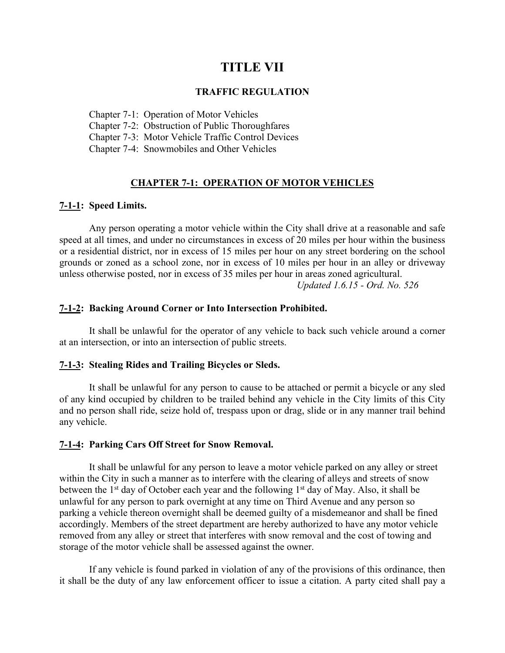# **TITLE VII**

#### **TRAFFIC REGULATION**

Chapter 7-1: Operation of Motor Vehicles

Chapter 7-2: Obstruction of Public Thoroughfares

Chapter 7-3: Motor Vehicle Traffic Control Devices

Chapter 7-4: Snowmobiles and Other Vehicles

## **CHAPTER 7-1: OPERATION OF MOTOR VEHICLES**

#### **7-1-1: Speed Limits.**

Any person operating a motor vehicle within the City shall drive at a reasonable and safe speed at all times, and under no circumstances in excess of 20 miles per hour within the business or a residential district, nor in excess of 15 miles per hour on any street bordering on the school grounds or zoned as a school zone, nor in excess of 10 miles per hour in an alley or driveway unless otherwise posted, nor in excess of 35 miles per hour in areas zoned agricultural.

*Updated 1.6.15 - Ord. No. 526*

#### **7-1-2: Backing Around Corner or Into Intersection Prohibited.**

It shall be unlawful for the operator of any vehicle to back such vehicle around a corner at an intersection, or into an intersection of public streets.

#### **7-1-3: Stealing Rides and Trailing Bicycles or Sleds.**

It shall be unlawful for any person to cause to be attached or permit a bicycle or any sled of any kind occupied by children to be trailed behind any vehicle in the City limits of this City and no person shall ride, seize hold of, trespass upon or drag, slide or in any manner trail behind any vehicle.

#### **7-1-4: Parking Cars Off Street for Snow Removal.**

It shall be unlawful for any person to leave a motor vehicle parked on any alley or street within the City in such a manner as to interfere with the clearing of alleys and streets of snow between the  $1<sup>st</sup>$  day of October each year and the following  $1<sup>st</sup>$  day of May. Also, it shall be unlawful for any person to park overnight at any time on Third Avenue and any person so parking a vehicle thereon overnight shall be deemed guilty of a misdemeanor and shall be fined accordingly. Members of the street department are hereby authorized to have any motor vehicle removed from any alley or street that interferes with snow removal and the cost of towing and storage of the motor vehicle shall be assessed against the owner.

If any vehicle is found parked in violation of any of the provisions of this ordinance, then it shall be the duty of any law enforcement officer to issue a citation. A party cited shall pay a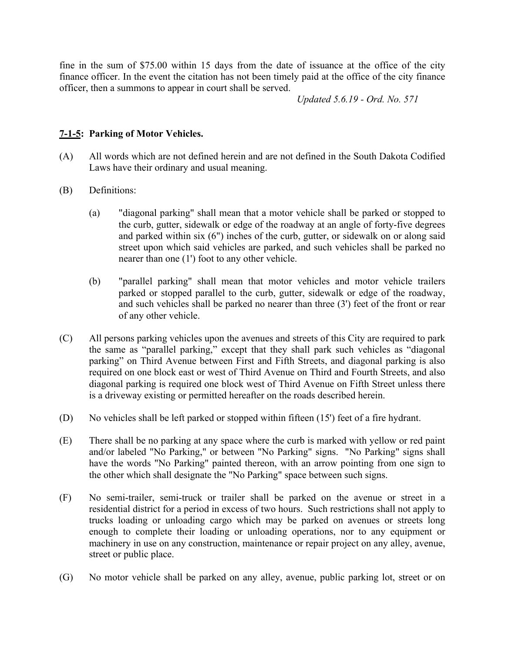fine in the sum of \$75.00 within 15 days from the date of issuance at the office of the city finance officer. In the event the citation has not been timely paid at the office of the city finance officer, then a summons to appear in court shall be served.

*Updated 5.6.19 - Ord. No. 571*

# **7-1-5: Parking of Motor Vehicles.**

- (A) All words which are not defined herein and are not defined in the South Dakota Codified Laws have their ordinary and usual meaning.
- (B) Definitions:
	- (a) "diagonal parking" shall mean that a motor vehicle shall be parked or stopped to the curb, gutter, sidewalk or edge of the roadway at an angle of forty-five degrees and parked within six (6") inches of the curb, gutter, or sidewalk on or along said street upon which said vehicles are parked, and such vehicles shall be parked no nearer than one (1') foot to any other vehicle.
	- (b) "parallel parking" shall mean that motor vehicles and motor vehicle trailers parked or stopped parallel to the curb, gutter, sidewalk or edge of the roadway, and such vehicles shall be parked no nearer than three (3') feet of the front or rear of any other vehicle.
- (C) All persons parking vehicles upon the avenues and streets of this City are required to park the same as "parallel parking," except that they shall park such vehicles as "diagonal parking" on Third Avenue between First and Fifth Streets, and diagonal parking is also required on one block east or west of Third Avenue on Third and Fourth Streets, and also diagonal parking is required one block west of Third Avenue on Fifth Street unless there is a driveway existing or permitted hereafter on the roads described herein.
- (D) No vehicles shall be left parked or stopped within fifteen (15') feet of a fire hydrant.
- (E) There shall be no parking at any space where the curb is marked with yellow or red paint and/or labeled "No Parking," or between "No Parking" signs. "No Parking" signs shall have the words "No Parking" painted thereon, with an arrow pointing from one sign to the other which shall designate the "No Parking" space between such signs.
- (F) No semi-trailer, semi-truck or trailer shall be parked on the avenue or street in a residential district for a period in excess of two hours. Such restrictions shall not apply to trucks loading or unloading cargo which may be parked on avenues or streets long enough to complete their loading or unloading operations, nor to any equipment or machinery in use on any construction, maintenance or repair project on any alley, avenue, street or public place.
- (G) No motor vehicle shall be parked on any alley, avenue, public parking lot, street or on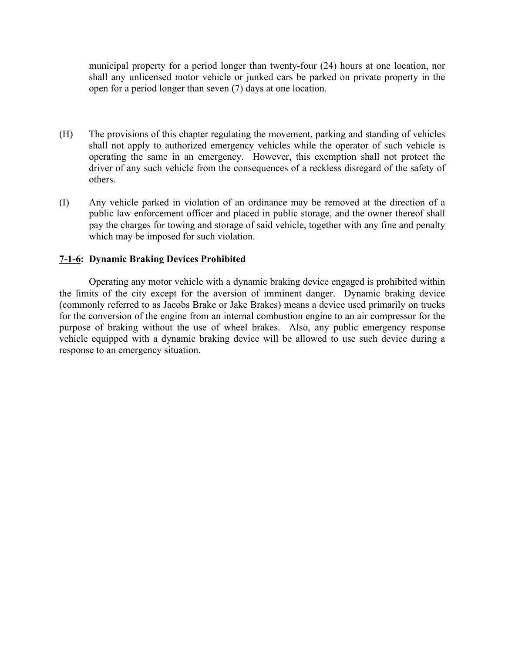municipal property for a period longer than twenty-four (24) hours at one location, nor shall any unlicensed motor vehicle or junked cars be parked on private property in the open for a period longer than seven (7) days at one location.

- (H) The provisions of this chapter regulating the movement, parking and standing of vehicles shall not apply to authorized emergency vehicles while the operator of such vehicle is operating the same in an emergency. However, this exemption shall not protect the driver of any such vehicle from the consequences of a reckless disregard of the safety of others.
- (I) Any vehicle parked in violation of an ordinance may be removed at the direction of a public law enforcement officer and placed in public storage, and the owner thereof shall pay the charges for towing and storage of said vehicle, together with any fine and penalty which may be imposed for such violation.

# **7-1-6: Dynamic Braking Devices Prohibited**

Operating any motor vehicle with a dynamic braking device engaged is prohibited within the limits of the city except for the aversion of imminent danger. Dynamic braking device (commonly referred to as Jacobs Brake or Jake Brakes) means a device used primarily on trucks for the conversion of the engine from an internal combustion engine to an air compressor for the purpose of braking without the use of wheel brakes. Also, any public emergency response vehicle equipped with a dynamic braking device will be allowed to use such device during a response to an emergency situation.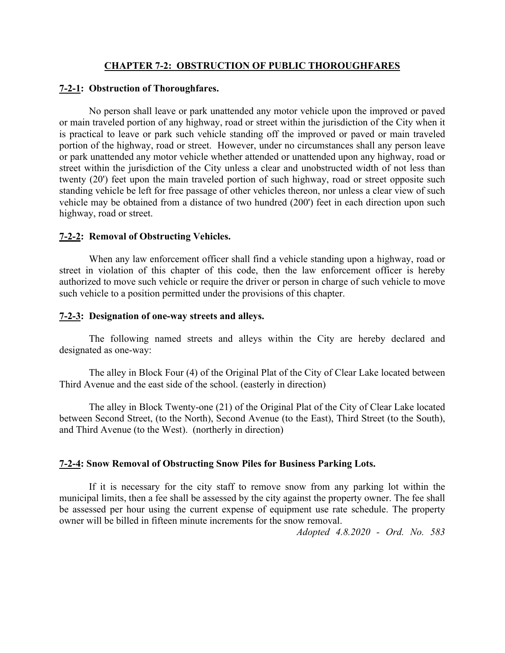## **CHAPTER 7-2: OBSTRUCTION OF PUBLIC THOROUGHFARES**

## **7-2-1: Obstruction of Thoroughfares.**

No person shall leave or park unattended any motor vehicle upon the improved or paved or main traveled portion of any highway, road or street within the jurisdiction of the City when it is practical to leave or park such vehicle standing off the improved or paved or main traveled portion of the highway, road or street. However, under no circumstances shall any person leave or park unattended any motor vehicle whether attended or unattended upon any highway, road or street within the jurisdiction of the City unless a clear and unobstructed width of not less than twenty (20') feet upon the main traveled portion of such highway, road or street opposite such standing vehicle be left for free passage of other vehicles thereon, nor unless a clear view of such vehicle may be obtained from a distance of two hundred (200') feet in each direction upon such highway, road or street.

## **7-2-2: Removal of Obstructing Vehicles.**

When any law enforcement officer shall find a vehicle standing upon a highway, road or street in violation of this chapter of this code, then the law enforcement officer is hereby authorized to move such vehicle or require the driver or person in charge of such vehicle to move such vehicle to a position permitted under the provisions of this chapter.

## **7-2-3: Designation of one-way streets and alleys.**

The following named streets and alleys within the City are hereby declared and designated as one-way:

The alley in Block Four (4) of the Original Plat of the City of Clear Lake located between Third Avenue and the east side of the school. (easterly in direction)

The alley in Block Twenty-one (21) of the Original Plat of the City of Clear Lake located between Second Street, (to the North), Second Avenue (to the East), Third Street (to the South), and Third Avenue (to the West). (northerly in direction)

## **7-2-4: Snow Removal of Obstructing Snow Piles for Business Parking Lots.**

If it is necessary for the city staff to remove snow from any parking lot within the municipal limits, then a fee shall be assessed by the city against the property owner. The fee shall be assessed per hour using the current expense of equipment use rate schedule. The property owner will be billed in fifteen minute increments for the snow removal.

*Adopted 4.8.2020 - Ord. No. 583*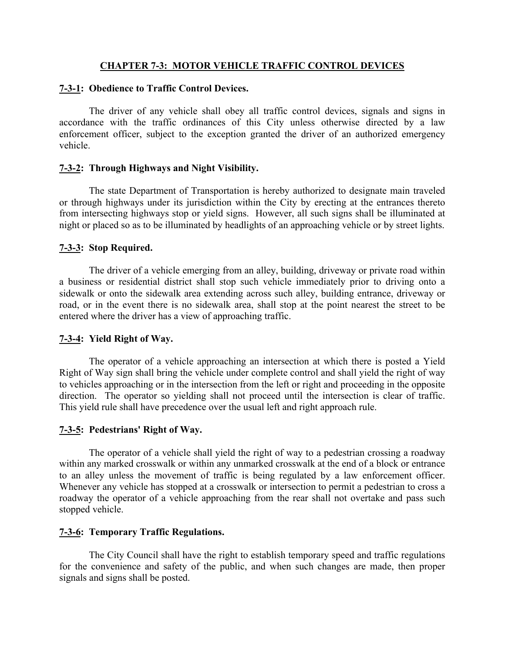## **CHAPTER 7-3: MOTOR VEHICLE TRAFFIC CONTROL DEVICES**

#### **7-3-1: Obedience to Traffic Control Devices.**

The driver of any vehicle shall obey all traffic control devices, signals and signs in accordance with the traffic ordinances of this City unless otherwise directed by a law enforcement officer, subject to the exception granted the driver of an authorized emergency vehicle.

#### **7-3-2: Through Highways and Night Visibility.**

The state Department of Transportation is hereby authorized to designate main traveled or through highways under its jurisdiction within the City by erecting at the entrances thereto from intersecting highways stop or yield signs. However, all such signs shall be illuminated at night or placed so as to be illuminated by headlights of an approaching vehicle or by street lights.

#### **7-3-3: Stop Required.**

The driver of a vehicle emerging from an alley, building, driveway or private road within a business or residential district shall stop such vehicle immediately prior to driving onto a sidewalk or onto the sidewalk area extending across such alley, building entrance, driveway or road, or in the event there is no sidewalk area, shall stop at the point nearest the street to be entered where the driver has a view of approaching traffic.

#### **7-3-4: Yield Right of Way.**

The operator of a vehicle approaching an intersection at which there is posted a Yield Right of Way sign shall bring the vehicle under complete control and shall yield the right of way to vehicles approaching or in the intersection from the left or right and proceeding in the opposite direction. The operator so yielding shall not proceed until the intersection is clear of traffic. This yield rule shall have precedence over the usual left and right approach rule.

#### **7-3-5: Pedestrians' Right of Way.**

The operator of a vehicle shall yield the right of way to a pedestrian crossing a roadway within any marked crosswalk or within any unmarked crosswalk at the end of a block or entrance to an alley unless the movement of traffic is being regulated by a law enforcement officer. Whenever any vehicle has stopped at a crosswalk or intersection to permit a pedestrian to cross a roadway the operator of a vehicle approaching from the rear shall not overtake and pass such stopped vehicle.

#### **7-3-6: Temporary Traffic Regulations.**

The City Council shall have the right to establish temporary speed and traffic regulations for the convenience and safety of the public, and when such changes are made, then proper signals and signs shall be posted.